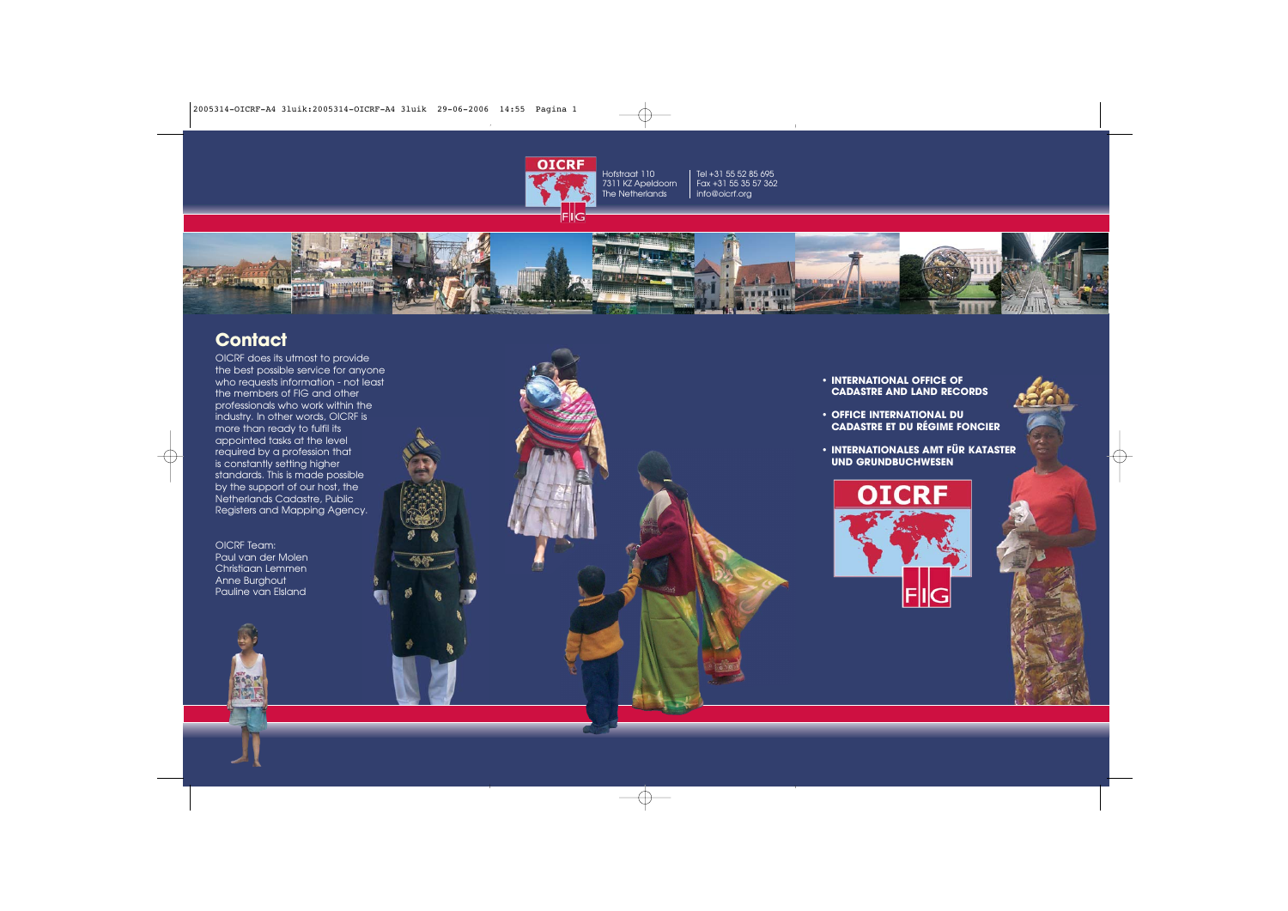

Tel +31 55 52 85 695 Fax +31 55 35 57 362 info@oicrf.org



## **Contact**

OICRF does its utmost to provide the best possible service for anyone who requests information - not least the members of FIG and other professionals who work within the industry. In other words, OICRF is more than ready to fulfil its appointed tasks at the level required by a profession that is constantly setting higher standards. This is made possible by the support of our host, the Netherlands Cadastre, Public Registers and Mapping Agency.

OICRF Team: Paul van der Molen Christiaan Lemmen Anne Burghout Pauline van Elsland

**• INTERNATIONAL OFFICE OF CADASTRE AND LAND RECORDS**

**• OFFICE INTERNATIONAL DU CADASTRE ET DU RÉGIME FONCIER**

**• INTERNATIONALES AMT FÜR KATASTER UND GRUNDBUCHWESEN**